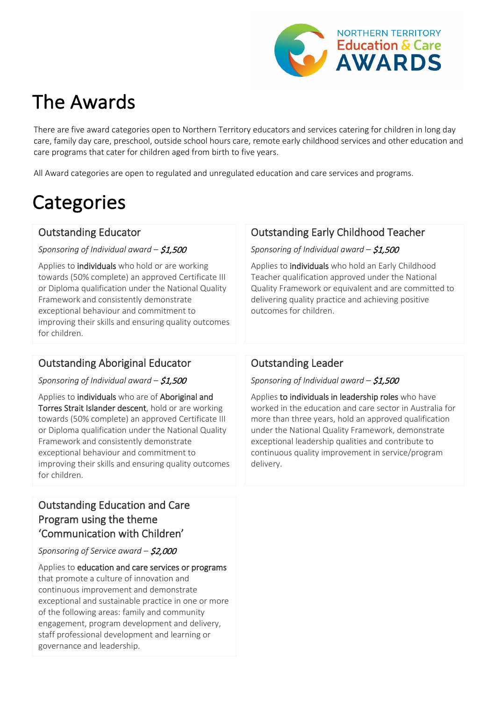

# The Awards

There are five award categories open to Northern Territory educators and services catering for children in long day care, family day care, preschool, outside school hours care, remote early childhood services and other education and care programs that cater for children aged from birth to five years.

All Award categories are open to regulated and unregulated education and care services and programs.

# **Categories**

#### Outstanding Educator

*Sponsoring of Individual award –* \$1,500

Applies to *individuals* who hold or are working towards (50% complete) an approved Certificate III or Diploma qualification under the National Quality Framework and consistently demonstrate exceptional behaviour and commitment to improving their skills and ensuring quality outcomes for children.

# Outstanding Early Childhood Teacher

*Sponsoring of Individual award –* \$1,500

Applies to individuals who hold an Early Childhood Teacher qualification approved under the National Quality Framework or equivalent and are committed to delivering quality practice and achieving positive outcomes for children.

### Outstanding Aboriginal Educator

*Sponsoring of Individual award –* \$1,500

Applies to individuals who are of Aboriginal and Torres Strait Islander descent, hold or are working towards (50% complete) an approved Certificate III or Diploma qualification under the National Quality Framework and consistently demonstrate exceptional behaviour and commitment to improving their skills and ensuring quality outcomes for children.

### Outstanding Education and Care Program using the theme 'Communication with Children'

*Sponsoring of Service award –* \$2,000

Applies to early childhood education and care services or programs that are delivering a program of excellence that focuses on in improved communication outcomes for children. The program must be led by at least one early childhood teacher or educator who holds a qualification under the National Quality Framework.

### Outstanding Leader

*Sponsoring of Individual award –* \$1,500

Applies to individuals in leadership roles who have worked in the education and care sector in Australia for more than three years, hold an approved qualification under the National Quality Framework, demonstrate exceptional leadership qualities and contribute to continuous quality improvement in service/program delivery.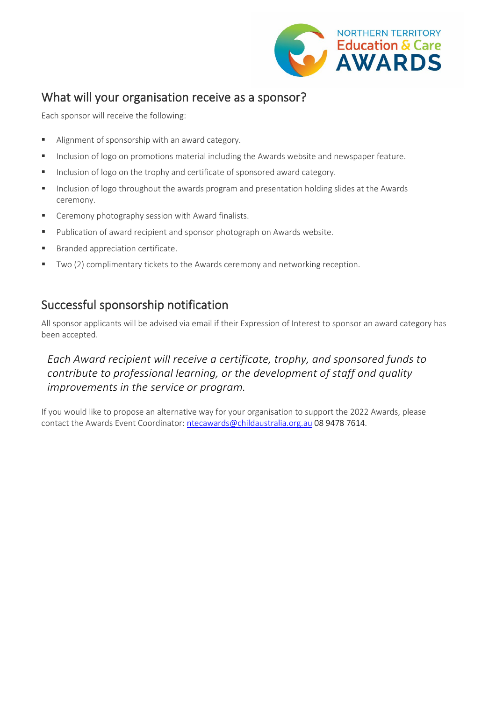

# What will your organisation receive as a sponsor?

Each sponsor will receive the following:

- Alignment of sponsorship with an award category.
- **Inclusion of logo on promotions material including the Awards website and newspaper feature.**
- Inclusion of logo on the trophy and certificate of sponsored award category.
- Inclusion of logo throughout the awards program and presentation holding slides at the Awards ceremony.
- Ceremony photography session with Award finalists.
- Publication of award recipient and sponsor photograph on Awards website.
- **Branded appreciation certificate.**
- Two (2) complimentary tickets to the Awards ceremony and networking reception.

# Successful sponsorship notification

All sponsor applicants will be advised via email if their Expression of Interest to sponsor an award category has been accepted.

### *Each Award recipient will receive a certificate, trophy, and sponsored funds to contribute to professional learning, or the development of staff and quality improvements in the service or program.*

If you would like to propose an alternative way for your organisation to support the 2022 Awards, please contact the Awards Event Coordinator: [ntecawards@childaustralia.org.au](mailto:ntecawards@childaustralia.org.au) 08 9478 7614.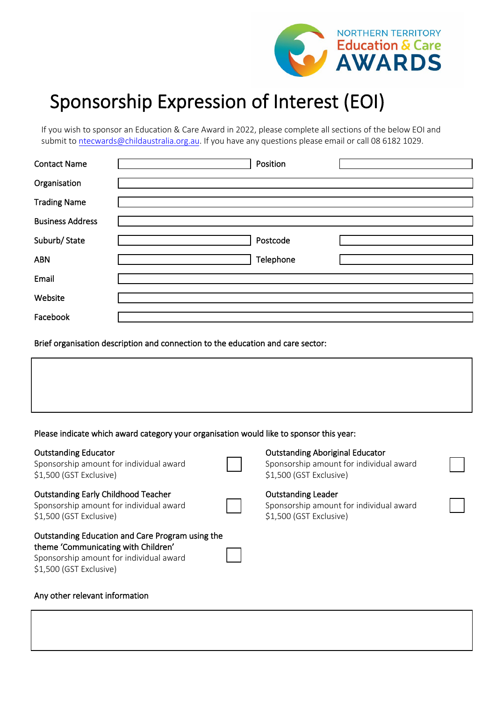

# Sponsorship Expression of Interest (EOI)

If you wish to sponsor an Education & Care Award in 2022, please complete all sections of the below EOI and submit to ntec[wards@childaustralia.org.au.](mailto:nteawards@childaustralia.org.au) If you have any questions please email or call 08 6182 1029.

| <b>Contact Name</b>     | Position  |  |
|-------------------------|-----------|--|
| Organisation            |           |  |
| <b>Trading Name</b>     |           |  |
| <b>Business Address</b> |           |  |
| Suburb/State            | Postcode  |  |
| <b>ABN</b>              | Telephone |  |
| Email                   |           |  |
| Website                 |           |  |
| Facebook                |           |  |

Brief organisation description and connection to the education and care sector:

#### Please indicate which award category your organisation would like to sponsor this year:

| <b>Outstanding Educator</b><br>Sponsorship amount for individual award<br>\$1,500 (GST Exclusive)                                                             | <b>Outstanding Aboriginal Educator</b><br>Sponsorship amount for individual award<br>\$1,500 (GST Exclusive) |
|---------------------------------------------------------------------------------------------------------------------------------------------------------------|--------------------------------------------------------------------------------------------------------------|
| <b>Outstanding Early Childhood Teacher</b><br>Sponsorship amount for individual award<br>\$1,500 (GST Exclusive)                                              | <b>Outstanding Leader</b><br>Sponsorship amount for individual award<br>\$1,500 (GST Exclusive)              |
| Outstanding Education and Care Program using the<br>theme 'Communicating with Children'<br>Sponsorship amount for individual award<br>\$1,500 (GST Exclusive) |                                                                                                              |

#### Any other relevant information